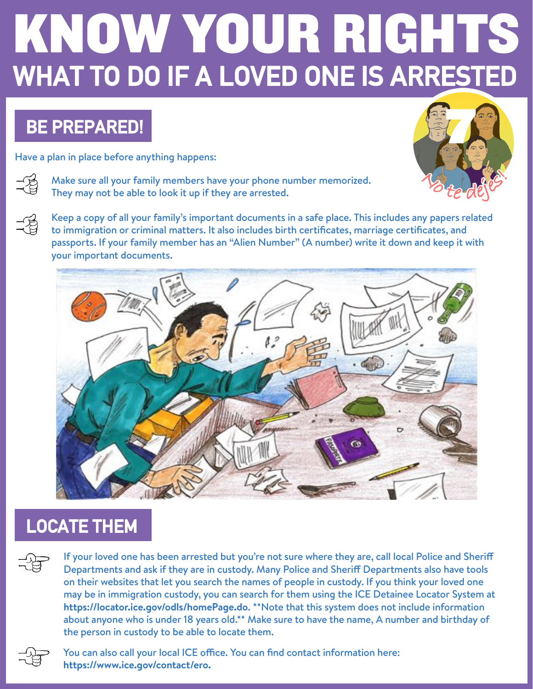# WHAT TO DO IF A LOVED ONE IS ARRESTED KNOW YOUR RIGHTS

# BE PREPARED!

Have a plan in place before anything happens:



 $\frac{1}{2}$ 

Make sure all your family members have your phone number memorized. They may not be able to look it up if they are arrested.

Keep a copy of all your family's important documents in a safe place. This includes any papers related to immigration or criminal matters. It also includes birth certificates, marriage certificates, and passports. If your family member has an "Alien Number" (A number) write it down and keep it with your important documents. **<sup>N</sup><sup>o</sup> <sup>t</sup><sup>e</sup> <sup>d</sup>ejes!**

7



# LOCATE THEM

If your loved one has been arrested but you're not sure where they are, call local Police and Sherif Departments and ask if they are in custody. Many Police and Sherif Departments also have tools on their websites that let you search the names of people in custody. If you think your loved one may be in immigration custody, you can search for them using the ICE Detainee Locator System at **https://locator.ice.gov/odls/homePage.do**. \*\*Note that this system does not include information about anyone who is under 18 years old.\*\* Make sure to have the name, A number and birthday of the person in custody to be able to locate them.



You can also call your local ICE office. You can find contact information here: **https://www.ice.gov/contact/ero.**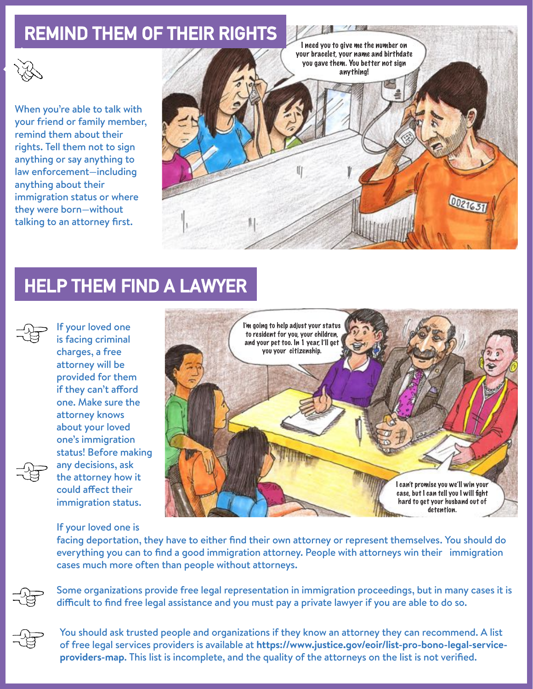#### REMIND THEM OF THEIR RIGHTS



When you're able to talk with your friend or family member, remind them about their rights. Tell them not to sign anything or say anything to law enforcement—including anything about their immigration status or where they were born—without talking to an attorney first.



# HELP THEM FIND A LAWYER



If your loved one is facing criminal charges, a free attorney will be provided for them if they can't afford one. Make sure the attorney knows about your loved one's immigration status! Before making any decisions, ask the attorney how it could afect their immigration status.



#### If your loved one is

facing deportation, they have to either find their own attorney or represent themselves. You should do everything you can to find a good immigration attorney. People with attorneys win their immigration cases much more often than people without attorneys.

Some organizations provide free legal representation in immigration proceedings, but in many cases it is difficult to find free legal assistance and you must pay a private lawyer if you are able to do so.



You should ask trusted people and organizations if they know an attorney they can recommend. A list of free legal services providers is available at **https://www.justice.gov/eoir/list-pro-bono-legal-serviceproviders-map**. This list is incomplete, and the quality of the attorneys on the list is not verified.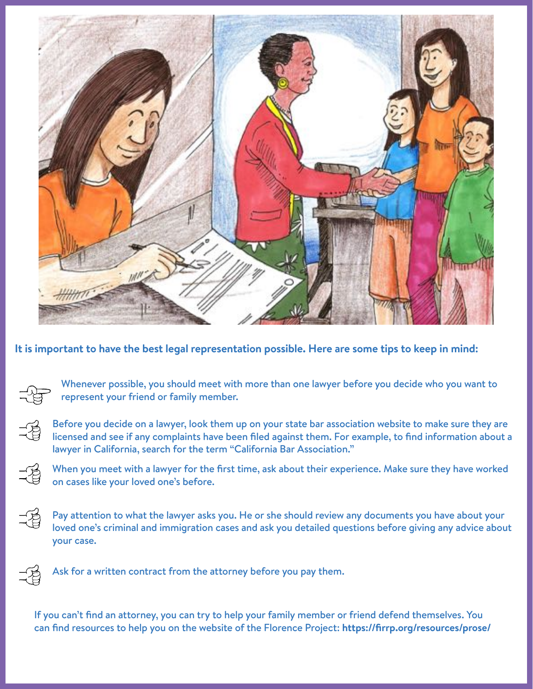

**It is important to have the best legal representation possible. Here are some tips to keep in mind:**

Whenever possible, you should meet with more than one lawyer before you decide who you want to represent your friend or family member.

Before you decide on a lawyer, look them up on your state bar association website to make sure they are licensed and see if any complaints have been filed against them. For example, to find information about a lawyer in California, search for the term "California Bar Association."

When you meet with a lawyer for the first time, ask about their experience. Make sure they have worked on cases like your loved one's before.

 $\frac{1}{2}$ Pay attention to what the lawyer asks you. He or she should review any documents you have about your loved one's criminal and immigration cases and ask you detailed questions before giving any advice about your case.



 $\frac{1}{2}$ 

Ask for a written contract from the attorney before you pay them.

If you can't find an attorney, you can try to help your family member or friend defend themselves. You can find resources to help you on the website of the Florence Project: **https://firrp.org/resources/prose/**